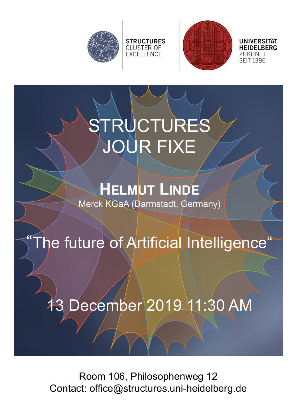



**UNIVERSITÄT 7UKUNFT SEIT 1386** 

# TRUCTURES JOUR FIXE

**STRUCTURES** 

**CLUSTER OF** EXCELLENCE

# **HELMUT LINDE**

Merck KGaA (Darmstadt, Germany)

## "The future of Artificial Intelligence"

### 13 December 2019 11:30 AM

Room 106, Philosophenweg 12 Contact: office@structures.uni-heidelberg.de